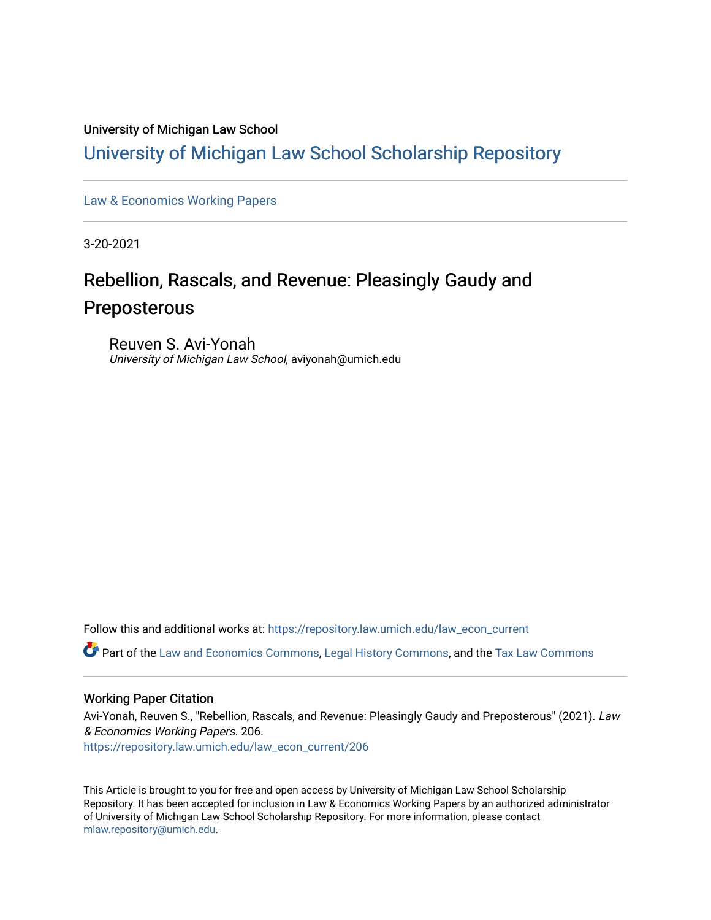#### University of Michigan Law School

### [University of Michigan Law School Scholarship Repository](https://repository.law.umich.edu/)

[Law & Economics Working Papers](https://repository.law.umich.edu/law_econ_current)

3-20-2021

## Rebellion, Rascals, and Revenue: Pleasingly Gaudy and Preposterous

Reuven S. Avi-Yonah University of Michigan Law School, aviyonah@umich.edu

Follow this and additional works at: [https://repository.law.umich.edu/law\\_econ\\_current](https://repository.law.umich.edu/law_econ_current?utm_source=repository.law.umich.edu%2Flaw_econ_current%2F206&utm_medium=PDF&utm_campaign=PDFCoverPages) 

Part of the [Law and Economics Commons](http://network.bepress.com/hgg/discipline/612?utm_source=repository.law.umich.edu%2Flaw_econ_current%2F206&utm_medium=PDF&utm_campaign=PDFCoverPages), [Legal History Commons](http://network.bepress.com/hgg/discipline/904?utm_source=repository.law.umich.edu%2Flaw_econ_current%2F206&utm_medium=PDF&utm_campaign=PDFCoverPages), and the [Tax Law Commons](http://network.bepress.com/hgg/discipline/898?utm_source=repository.law.umich.edu%2Flaw_econ_current%2F206&utm_medium=PDF&utm_campaign=PDFCoverPages) 

#### Working Paper Citation

Avi-Yonah, Reuven S., "Rebellion, Rascals, and Revenue: Pleasingly Gaudy and Preposterous" (2021). Law & Economics Working Papers. 206. [https://repository.law.umich.edu/law\\_econ\\_current/206](https://repository.law.umich.edu/law_econ_current/206?utm_source=repository.law.umich.edu%2Flaw_econ_current%2F206&utm_medium=PDF&utm_campaign=PDFCoverPages) 

This Article is brought to you for free and open access by University of Michigan Law School Scholarship Repository. It has been accepted for inclusion in Law & Economics Working Papers by an authorized administrator of University of Michigan Law School Scholarship Repository. For more information, please contact [mlaw.repository@umich.edu.](mailto:mlaw.repository@umich.edu)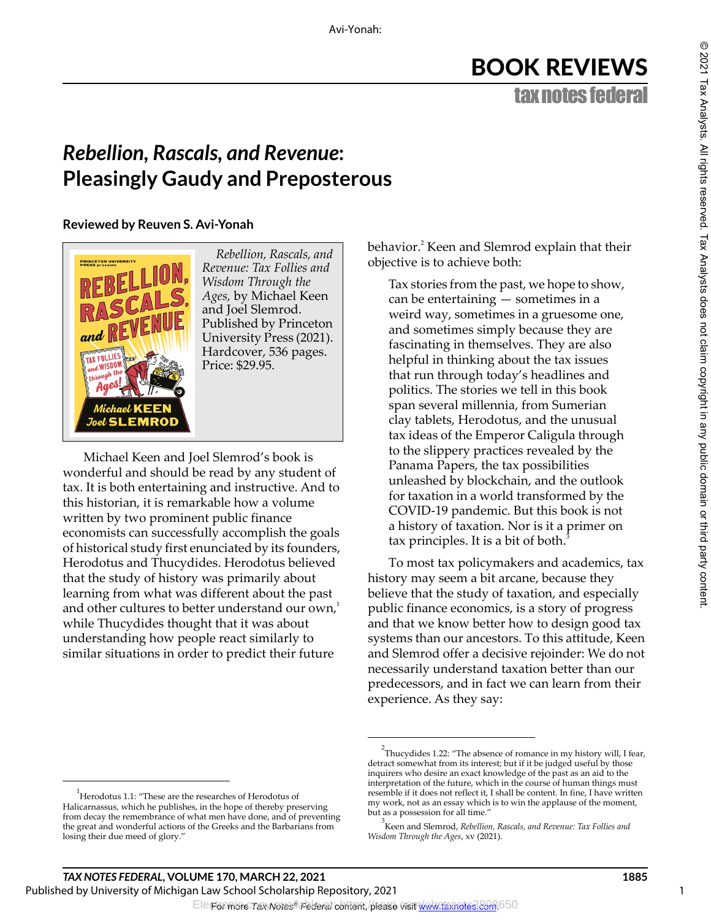# BOOK REVIEWS

tax notes federal

## *Rebellion, Rascals, and Revenue***: Pleasingly Gaudy and Preposterous**

**Reviewed by Reuven S. Avi-Yonah**



*Rebellion, Rascals, and Revenue: Tax Follies and Wisdom Through the Ages,* by Michael Keen and Joel Slemrod. Published by Princeton University Press (2021). Hardcover, 536 pages. Price: \$29.95.

Michael Keen and Joel Slemrod's book is wonderful and should be read by any student of tax. It is both entertaining and instructive. And to this historian, it is remarkable how a volume written by two prominent public finance economists can successfully accomplish the goals of historical study first enunciated by its founders, Herodotus and Thucydides. Herodotus believed that the study of history was primarily about learning from what was different about the past and other cultures to better understand our own,<sup>1</sup> while Thucydides thought that it was about understanding how people react similarly to similar situations in order to predict their future

behavior.<sup>2</sup> Keen and Slemrod explain that their objective is to achieve both:

Tax stories from the past, we hope to show, can be entertaining — sometimes in a weird way, sometimes in a gruesome one, and sometimes simply because they are fascinating in themselves. They are also helpful in thinking about the tax issues that run through today's headlines and politics. The stories we tell in this book span several millennia, from Sumerian clay tablets, Herodotus, and the unusual tax ideas of the Emperor Caligula through to the slippery practices revealed by the Panama Papers, the tax possibilities unleashed by blockchain, and the outlook for taxation in a world transformed by the COVID-19 pandemic. But this book is not a history of taxation. Nor is it a primer on tax principles. It is a bit of both. $3$ 

To most tax policymakers and academics, tax history may seem a bit arcane, because they believe that the study of taxation, and especially public finance economics, is a story of progress and that we know better how to design good tax systems than our ancestors. To this attitude, Keen and Slemrod offer a decisive rejoinder: We do not necessarily understand taxation better than our predecessors, and in fact we can learn from their experience. As they say:

1

<sup>1</sup> Herodotus 1.1: "These are the researches of Herodotus of Halicarnassus, which he publishes, in the hope of thereby preserving from decay the remembrance of what men have done, and of preventing the great and wonderful actions of the Greeks and the Barbarians from losing their due meed of glory."

<sup>&</sup>lt;sup>2</sup>Thucydides 1.22: "The absence of romance in my history will, I fear, detract somewhat from its interest; but if it be judged useful by those inquirers who desire an exact knowledge of the past as an aid to the interpretation of the future, which in the course of human things must resemble if it does not reflect it, I shall be content. In fine, I have written my work, not as an essay which is to win the applause of the moment, but as a possession for all time."

<sup>3</sup> Keen and Slemrod, *Rebellion, Rascals, and Revenue: Tax Follies and Wisdom Through the Ages*, xv (2021).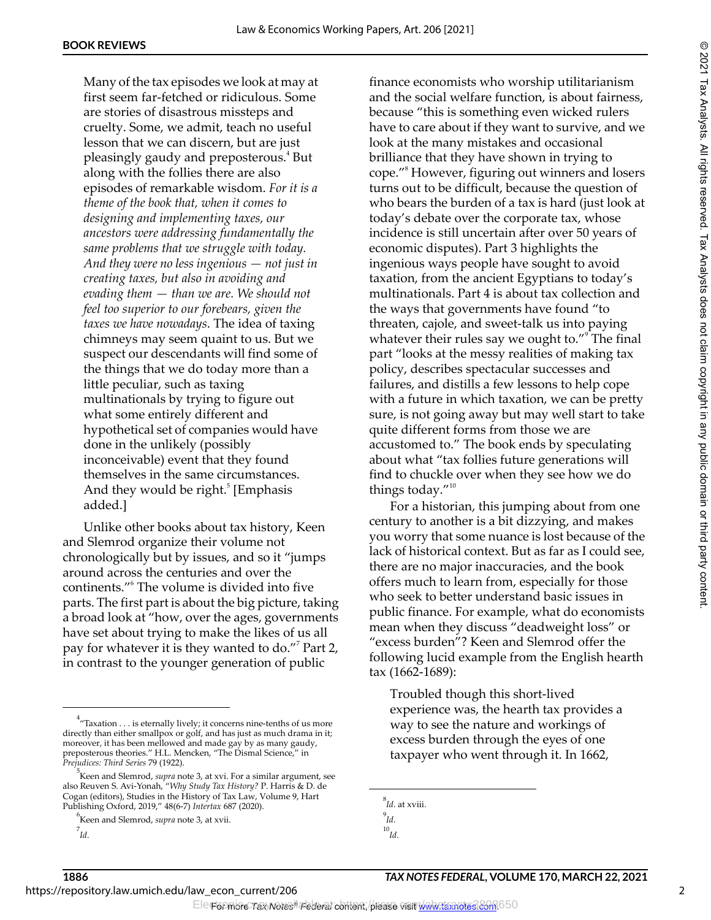Many of the tax episodes we look at may at first seem far-fetched or ridiculous. Some are stories of disastrous missteps and cruelty. Some, we admit, teach no useful lesson that we can discern, but are just pleasingly gaudy and preposterous.<sup>4</sup> But along with the follies there are also episodes of remarkable wisdom. *For it is a theme of the book that, when it comes to designing and implementing taxes, our ancestors were addressing fundamentally the same problems that we struggle with today. And they were no less ingenious — not just in creating taxes, but also in avoiding and evading them — than we are. We should not feel too superior to our forebears, given the taxes we have nowadays*. The idea of taxing chimneys may seem quaint to us. But we suspect our descendants will find some of the things that we do today more than a little peculiar, such as taxing multinationals by trying to figure out what some entirely different and hypothetical set of companies would have done in the unlikely (possibly inconceivable) event that they found themselves in the same circumstances. And they would be right.<sup>5</sup> [Emphasis added.]

Unlike other books about tax history, Keen and Slemrod organize their volume not chronologically but by issues, and so it "jumps around across the centuries and over the continents."6 The volume is divided into five parts. The first part is about the big picture, taking a broad look at "how, over the ages, governments have set about trying to make the likes of us all pay for whatever it is they wanted to do."<sup>7</sup> Part 2, in contrast to the younger generation of public

finance economists who worship utilitarianism and the social welfare function, is about fairness, because "this is something even wicked rulers have to care about if they want to survive, and we look at the many mistakes and occasional brilliance that they have shown in trying to cope."8 However, figuring out winners and losers turns out to be difficult, because the question of who bears the burden of a tax is hard (just look at today's debate over the corporate tax, whose incidence is still uncertain after over 50 years of economic disputes). Part 3 highlights the ingenious ways people have sought to avoid taxation, from the ancient Egyptians to today's multinationals. Part 4 is about tax collection and the ways that governments have found "to threaten, cajole, and sweet-talk us into paying whatever their rules say we ought to."<sup>9</sup> The final part "looks at the messy realities of making tax policy, describes spectacular successes and failures, and distills a few lessons to help cope with a future in which taxation, we can be pretty sure, is not going away but may well start to take quite different forms from those we are accustomed to." The book ends by speculating about what "tax follies future generations will find to chuckle over when they see how we do things today."<sup>10</sup>

For a historian, this jumping about from one century to another is a bit dizzying, and makes you worry that some nuance is lost because of the lack of historical context. But as far as I could see, there are no major inaccuracies, and the book offers much to learn from, especially for those who seek to better understand basic issues in public finance. For example, what do economists mean when they discuss "deadweight loss" or "excess burden"? Keen and Slemrod offer the following lucid example from the English hearth tax (1662-1689):

Troubled though this short-lived experience was, the hearth tax provides a way to see the nature and workings of excess burden through the eyes of one taxpayer who went through it. In 1662,

8 *Id*. at xviii. 9 *Id*. 10 *Id*.

 $4\pi^4$ "Taxation  $\dots$  is eternally lively; it concerns nine-tenths of us more directly than either smallpox or golf, and has just as much drama in it; moreover, it has been mellowed and made gay by as many gaudy, preposterous theories." H.L. Mencken, "The Dismal Science," in *Prejudices: Third Series* 79 (1922).

<sup>5</sup> Keen and Slemrod, *supra* note 3, at xvi. For a similar argument, see also Reuven S. Avi-Yonah, "*Why Study Tax History?* P. Harris & D. de Cogan (editors), Studies in the History of Tax Law, Volume 9, Hart Publishing Oxford, 2019," 48(6-7) *Intertax* 687 (2020).

<sup>6</sup> Keen and Slemrod, *supra* note 3, at xvii.

<sup>7</sup> *Id*.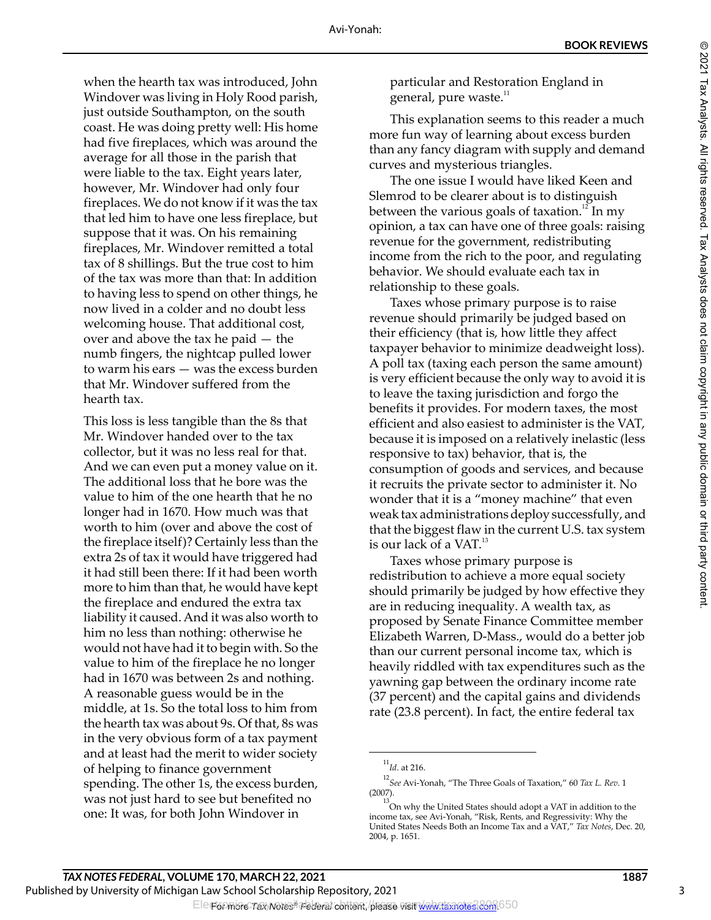when the hearth tax was introduced, John Windover was living in Holy Rood parish, just outside Southampton, on the south coast. He was doing pretty well: His home had five fireplaces, which was around the average for all those in the parish that were liable to the tax. Eight years later, however, Mr. Windover had only four fireplaces. We do not know if it was the tax that led him to have one less fireplace, but suppose that it was. On his remaining fireplaces, Mr. Windover remitted a total tax of 8 shillings. But the true cost to him of the tax was more than that: In addition to having less to spend on other things, he now lived in a colder and no doubt less welcoming house. That additional cost, over and above the tax he paid — the numb fingers, the nightcap pulled lower to warm his ears — was the excess burden that Mr. Windover suffered from the hearth tax.

This loss is less tangible than the 8s that Mr. Windover handed over to the tax collector, but it was no less real for that. And we can even put a money value on it. The additional loss that he bore was the value to him of the one hearth that he no longer had in 1670. How much was that worth to him (over and above the cost of the fireplace itself)? Certainly less than the extra 2s of tax it would have triggered had it had still been there: If it had been worth more to him than that, he would have kept the fireplace and endured the extra tax liability it caused. And it was also worth to him no less than nothing: otherwise he would not have had it to begin with. So the value to him of the fireplace he no longer had in 1670 was between 2s and nothing. A reasonable guess would be in the middle, at 1s. So the total loss to him from the hearth tax was about 9s. Of that, 8s was in the very obvious form of a tax payment and at least had the merit to wider society of helping to finance government spending. The other 1s, the excess burden, was not just hard to see but benefited no one: It was, for both John Windover in

particular and Restoration England in general, pure waste. $11$ 

This explanation seems to this reader a much more fun way of learning about excess burden than any fancy diagram with supply and demand curves and mysterious triangles.

The one issue I would have liked Keen and Slemrod to be clearer about is to distinguish between the various goals of taxation.<sup>12</sup> In my opinion, a tax can have one of three goals: raising revenue for the government, redistributing income from the rich to the poor, and regulating behavior. We should evaluate each tax in relationship to these goals.

Taxes whose primary purpose is to raise revenue should primarily be judged based on their efficiency (that is, how little they affect taxpayer behavior to minimize deadweight loss). A poll tax (taxing each person the same amount) is very efficient because the only way to avoid it is to leave the taxing jurisdiction and forgo the benefits it provides. For modern taxes, the most efficient and also easiest to administer is the VAT, because it is imposed on a relatively inelastic (less responsive to tax) behavior, that is, the consumption of goods and services, and because it recruits the private sector to administer it. No wonder that it is a "money machine" that even weak tax administrations deploy successfully, and that the biggest flaw in the current U.S. tax system is our lack of a VAT.<sup>13</sup>

Taxes whose primary purpose is redistribution to achieve a more equal society should primarily be judged by how effective they are in reducing inequality. A wealth tax, as proposed by Senate Finance Committee member Elizabeth Warren, D-Mass., would do a better job than our current personal income tax, which is heavily riddled with tax expenditures such as the yawning gap between the ordinary income rate (37 percent) and the capital gains and dividends rate (23.8 percent). In fact, the entire federal tax

<sup>11</sup> *Id*. at 216.

<sup>12</sup> *See* Avi-Yonah, "The Three Goals of Taxation," 60 *Tax L. Rev*. 1 (2007).

 $^{13}$ On why the United States should adopt a VAT in addition to the income tax, see Avi-Yonah, "Risk, Rents, and Regressivity: Why the United States Needs Both an Income Tax and a VAT," *Tax Notes*, Dec. 20, 2004, p. 1651.